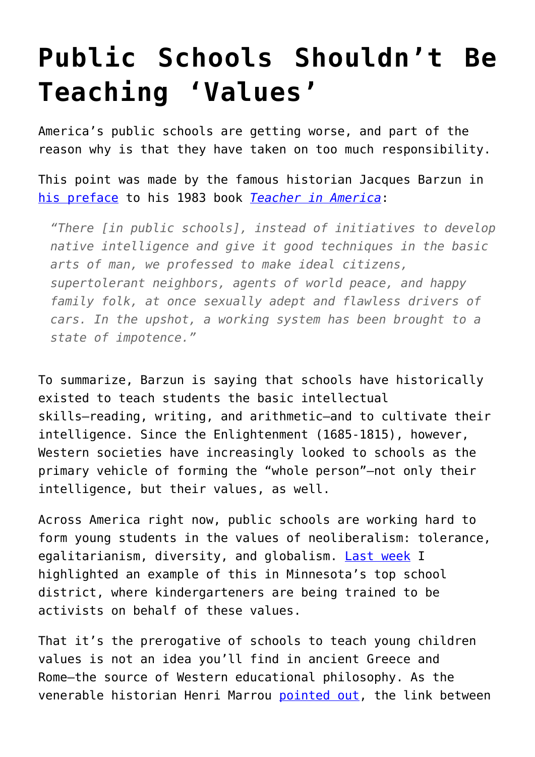## **[Public Schools Shouldn't Be](https://intellectualtakeout.org/2017/05/public-schools-shouldnt-be-teaching-values/) [Teaching 'Values'](https://intellectualtakeout.org/2017/05/public-schools-shouldnt-be-teaching-values/)**

America's public schools are getting worse, and part of the reason why is that they have taken on too much responsibility.

This point was made by the famous historian Jacques Barzun in [his preface](http://www.the-rathouse.com/JacquesBarzunPreface.html) to his 1983 book *[Teacher in America](http://amzn.to/2qJYZle)*:

*"There [in public schools], instead of initiatives to develop native intelligence and give it good techniques in the basic arts of man, we professed to make ideal citizens, supertolerant neighbors, agents of world peace, and happy family folk, at once sexually adept and flawless drivers of cars. In the upshot, a working system has been brought to a state of impotence."*

To summarize, Barzun is saying that schools have historically existed to teach students the basic intellectual skills—reading, writing, and arithmetic—and to cultivate their intelligence. Since the Enlightenment (1685-1815), however, Western societies have increasingly looked to schools as the primary vehicle of forming the "whole person"—not only their intelligence, but their values, as well.

Across America right now, public schools are working hard to form young students in the values of neoliberalism: tolerance, egalitarianism, diversity, and globalism. [Last week](https://www.intellectualtakeout.org/blog/elementary-students-being-indoctrinated-minnesotas-top-school-district) I highlighted an example of this in Minnesota's top school district, where kindergarteners are being trained to be activists on behalf of these values.

That it's the prerogative of schools to teach young children values is not an idea you'll find in ancient Greece and Rome—the source of Western educational philosophy. As the venerable historian Henri Marrou [pointed out](http://amzn.to/2pdql2W), the link between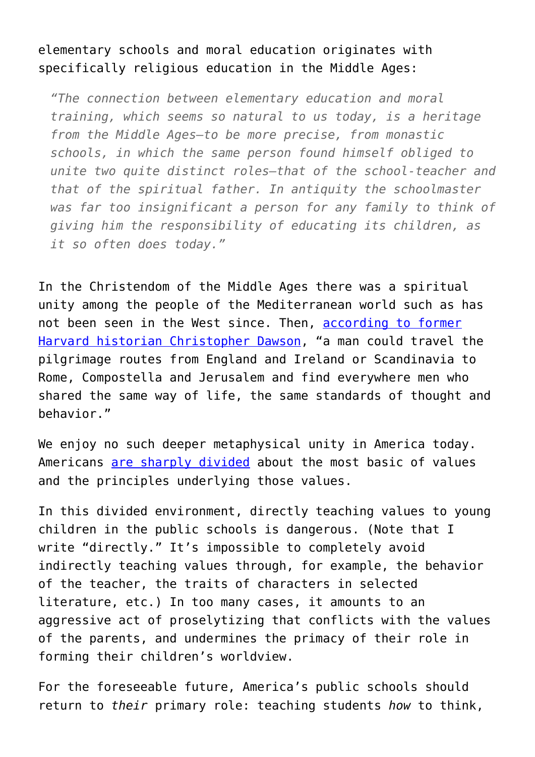## elementary schools and moral education originates with specifically religious education in the Middle Ages:

*"The connection between elementary education and moral training, which seems so natural to us today, is a heritage from the Middle Ages—to be more precise, from monastic schools, in which the same person found himself obliged to unite two quite distinct roles—that of the school-teacher and that of the spiritual father. In antiquity the schoolmaster was far too insignificant a person for any family to think of giving him the responsibility of educating its children, as it so often does today."*

In the Christendom of the Middle Ages there was a spiritual unity among the people of the Mediterranean world such as has not been seen in the West since. Then, [according to former](http://amzn.to/2ps6kSA) [Harvard historian Christopher Dawson](http://amzn.to/2ps6kSA), "a man could travel the pilgrimage routes from England and Ireland or Scandinavia to Rome, Compostella and Jerusalem and find everywhere men who shared the same way of life, the same standards of thought and behavior."

We enjoy no such deeper metaphysical unity in America today. Americans [are sharply divided](https://www.nytimes.com/2016/11/08/opinion/lets-not-do-this-again.html) about the most basic of values and the principles underlying those values.

In this divided environment, directly teaching values to young children in the public schools is dangerous. (Note that I write "directly." It's impossible to completely avoid indirectly teaching values through, for example, the behavior of the teacher, the traits of characters in selected literature, etc.) In too many cases, it amounts to an aggressive act of proselytizing that conflicts with the values of the parents, and undermines the primacy of their role in forming their children's worldview.

For the foreseeable future, America's public schools should return to *their* primary role: teaching students *how* to think,